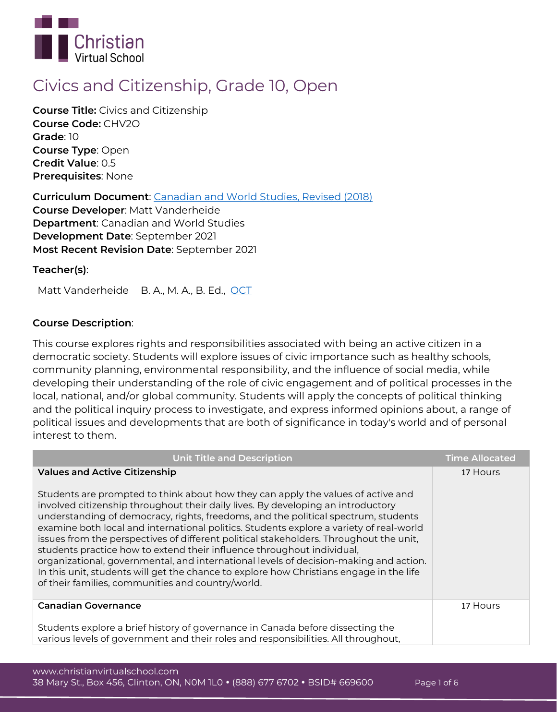

# **Civics and Citizenship, Grade 10, Open**

**Course Title:** Civics and Citizenship **Course Code:** CHV2O **Grade**: 10 **Course Type**: Open **Credit Value**: 0.5 **Prerequisites**: None

**Curriculum Document**: [Canadian and World Studies, Revised \(2018\)](http://www.edu.gov.on.ca/eng/curriculum/secondary/canworld910curr2018.pdf) **Course Developer**: Matt Vanderheide **Department**: Canadian and World Studies **Development Date**: September 2021 **Most Recent Revision Date**: September 2021

# **Teacher(s)**:

Matt Vanderheide B. A., M. A., B. Ed., [OCT](https://apps.oct.ca/FindATeacher/memberdetail?id=593946)

# **Course Description**:

This course explores rights and responsibilities associated with being an active citizen in a democratic society. Students will explore issues of civic importance such as healthy schools, community planning, environmental responsibility, and the influence of social media, while developing their understanding of the role of civic engagement and of political processes in the local, national, and/or global community. Students will apply the concepts of political thinking and the political inquiry process to investigate, and express informed opinions about, a range of political issues and developments that are both of significance in today's world and of personal interest to them.

| <b>Unit Title and Description</b>                                                                                                                                                                                                                                                                                                                                                                                                                                                                                                                                                                                                                                                                                                                                                                          | <b>Time Allocated</b> |
|------------------------------------------------------------------------------------------------------------------------------------------------------------------------------------------------------------------------------------------------------------------------------------------------------------------------------------------------------------------------------------------------------------------------------------------------------------------------------------------------------------------------------------------------------------------------------------------------------------------------------------------------------------------------------------------------------------------------------------------------------------------------------------------------------------|-----------------------|
| <b>Values and Active Citizenship</b><br>Students are prompted to think about how they can apply the values of active and<br>involved citizenship throughout their daily lives. By developing an introductory<br>understanding of democracy, rights, freedoms, and the political spectrum, students<br>examine both local and international politics. Students explore a variety of real-world<br>issues from the perspectives of different political stakeholders. Throughout the unit,<br>students practice how to extend their influence throughout individual,<br>organizational, governmental, and international levels of decision-making and action.<br>In this unit, students will get the chance to explore how Christians engage in the life<br>of their families, communities and country/world. | 17 Hours              |
| <b>Canadian Governance</b>                                                                                                                                                                                                                                                                                                                                                                                                                                                                                                                                                                                                                                                                                                                                                                                 | 17 Hours              |
| Students explore a brief history of governance in Canada before dissecting the                                                                                                                                                                                                                                                                                                                                                                                                                                                                                                                                                                                                                                                                                                                             |                       |
| various levels of government and their roles and responsibilities. All throughout,                                                                                                                                                                                                                                                                                                                                                                                                                                                                                                                                                                                                                                                                                                                         |                       |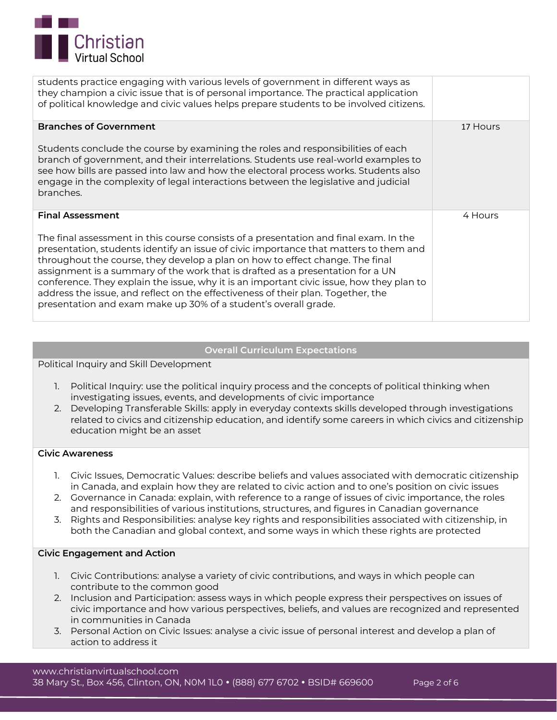

| students practice engaging with various levels of government in different ways as<br>they champion a civic issue that is of personal importance. The practical application<br>of political knowledge and civic values helps prepare students to be involved citizens.                                                                                                                                                                                                                                                                                                                                                           |          |
|---------------------------------------------------------------------------------------------------------------------------------------------------------------------------------------------------------------------------------------------------------------------------------------------------------------------------------------------------------------------------------------------------------------------------------------------------------------------------------------------------------------------------------------------------------------------------------------------------------------------------------|----------|
| <b>Branches of Government</b><br>Students conclude the course by examining the roles and responsibilities of each<br>branch of government, and their interrelations. Students use real-world examples to<br>see how bills are passed into law and how the electoral process works. Students also<br>engage in the complexity of legal interactions between the legislative and judicial<br>branches.                                                                                                                                                                                                                            | 17 Hours |
| <b>Final Assessment</b><br>The final assessment in this course consists of a presentation and final exam. In the<br>presentation, students identify an issue of civic importance that matters to them and<br>throughout the course, they develop a plan on how to effect change. The final<br>assignment is a summary of the work that is drafted as a presentation for a UN<br>conference. They explain the issue, why it is an important civic issue, how they plan to<br>address the issue, and reflect on the effectiveness of their plan. Together, the<br>presentation and exam make up 30% of a student's overall grade. | 4 Hours  |

## **Overall Curriculum Expectations**

**Political Inquiry and Skill Development**

- 1. Political Inquiry: use the political inquiry process and the concepts of political thinking when investigating issues, events, and developments of civic importance
- 2. Developing Transferable Skills: apply in everyday contexts skills developed through investigations related to civics and citizenship education, and identify some careers in which civics and citizenship education might be an asset

#### **Civic Awareness**

- 1. Civic Issues, Democratic Values: describe beliefs and values associated with democratic citizenship in Canada, and explain how they are related to civic action and to one's position on civic issues
- 2. Governance in Canada: explain, with reference to a range of issues of civic importance, the roles and responsibilities of various institutions, structures, and figures in Canadian governance
- 3. Rights and Responsibilities: analyse key rights and responsibilities associated with citizenship, in both the Canadian and global context, and some ways in which these rights are protected

## **Civic Engagement and Action**

- 1. Civic Contributions: analyse a variety of civic contributions, and ways in which people can contribute to the common good
- 2. Inclusion and Participation: assess ways in which people express their perspectives on issues of civic importance and how various perspectives, beliefs, and values are recognized and represented in communities in Canada
- 3. Personal Action on Civic Issues: analyse a civic issue of personal interest and develop a plan of action to address it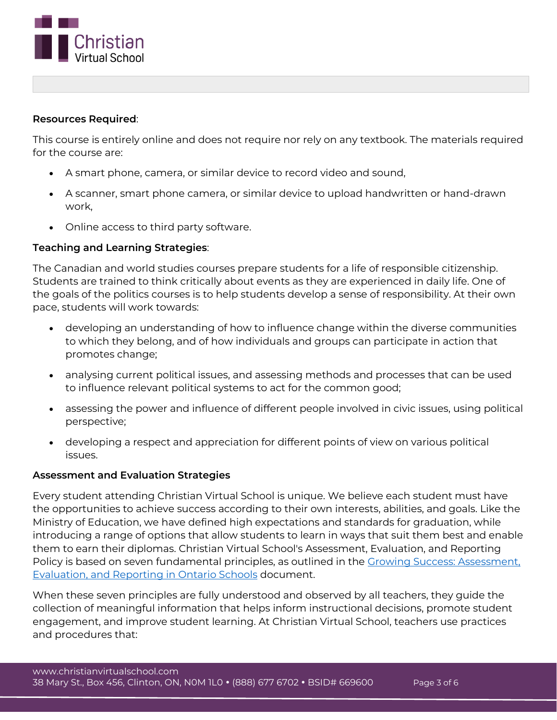

## **Resources Required**:

This course is entirely online and does not require nor rely on any textbook. The materials required for the course are:

- A smart phone, camera, or similar device to record video and sound,
- A scanner, smart phone camera, or similar device to upload handwritten or hand-drawn work,
- Online access to third party software.

# **Teaching and Learning Strategies**:

The Canadian and world studies courses prepare students for a life of responsible citizenship. Students are trained to think critically about events as they are experienced in daily life. One of the goals of the politics courses is to help students develop a sense of responsibility. At their own pace, students will work towards:

- developing an understanding of how to influence change within the diverse communities to which they belong, and of how individuals and groups can participate in action that promotes change;
- analysing current political issues, and assessing methods and processes that can be used to influence relevant political systems to act for the common good;
- assessing the power and influence of different people involved in civic issues, using political perspective;
- developing a respect and appreciation for different points of view on various political issues.

## **Assessment and Evaluation Strategies**

Every student attending Christian Virtual School is unique. We believe each student must have the opportunities to achieve success according to their own interests, abilities, and goals. Like the Ministry of Education, we have defined high expectations and standards for graduation, while introducing a range of options that allow students to learn in ways that suit them best and enable them to earn their diplomas. Christian Virtual School's Assessment, Evaluation, and Reporting Policy is based on seven fundamental principles, as outlined in the [Growing Success: Assessment,](http://www.edu.gov.on.ca/eng/policyfunding/growSuccess.pdf)  [Evaluation, and Reporting in](http://www.edu.gov.on.ca/eng/policyfunding/growSuccess.pdf) Ontario Schools document.

When these seven principles are fully understood and observed by all teachers, they guide the collection of meaningful information that helps inform instructional decisions, promote student engagement, and improve student learning. At Christian Virtual School, teachers use practices and procedures that: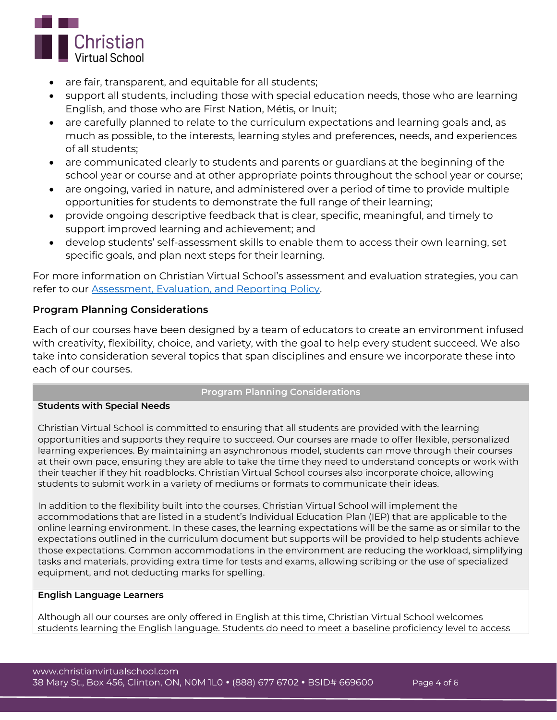

- are fair, transparent, and equitable for all students;
- support all students, including those with special education needs, those who are learning English, and those who are First Nation, Métis, or Inuit;
- are carefully planned to relate to the curriculum expectations and learning goals and, as much as possible, to the interests, learning styles and preferences, needs, and experiences of all students;
- are communicated clearly to students and parents or guardians at the beginning of the school year or course and at other appropriate points throughout the school year or course;
- are ongoing, varied in nature, and administered over a period of time to provide multiple opportunities for students to demonstrate the full range of their learning;
- provide ongoing descriptive feedback that is clear, specific, meaningful, and timely to support improved learning and achievement; and
- develop students' self-assessment skills to enable them to access their own learning, set specific goals, and plan next steps for their learning.

For more information on Christian Virtual School's assessment and evaluation strategies, you can refer to our **Assessment, Evaluation, and Reporting Policy**.

# **Program Planning Considerations**

Each of our courses have been designed by a team of educators to create an environment infused with creativity, flexibility, choice, and variety, with the goal to help every student succeed. We also take into consideration several topics that span disciplines and ensure we incorporate these into each of our courses.

# **Program Planning Considerations**

## **Students with Special Needs**

Christian Virtual School is committed to ensuring that all students are provided with the learning opportunities and supports they require to succeed. Our courses are made to offer flexible, personalized learning experiences. By maintaining an asynchronous model, students can move through their courses at their own pace, ensuring they are able to take the time they need to understand concepts or work with their teacher if they hit roadblocks. Christian Virtual School courses also incorporate choice, allowing students to submit work in a variety of mediums or formats to communicate their ideas.

In addition to the flexibility built into the courses, Christian Virtual School will implement the accommodations that are listed in a student's Individual Education Plan (IEP) that are applicable to the online learning environment. In these cases, the learning expectations will be the same as or similar to the expectations outlined in the curriculum document but supports will be provided to help students achieve those expectations. Common accommodations in the environment are reducing the workload, simplifying tasks and materials, providing extra time for tests and exams, allowing scribing or the use of specialized equipment, and not deducting marks for spelling.

## **English Language Learners**

Although all our courses are only offered in English at this time, Christian Virtual School welcomes students learning the English language. Students do need to meet a baseline proficiency level to access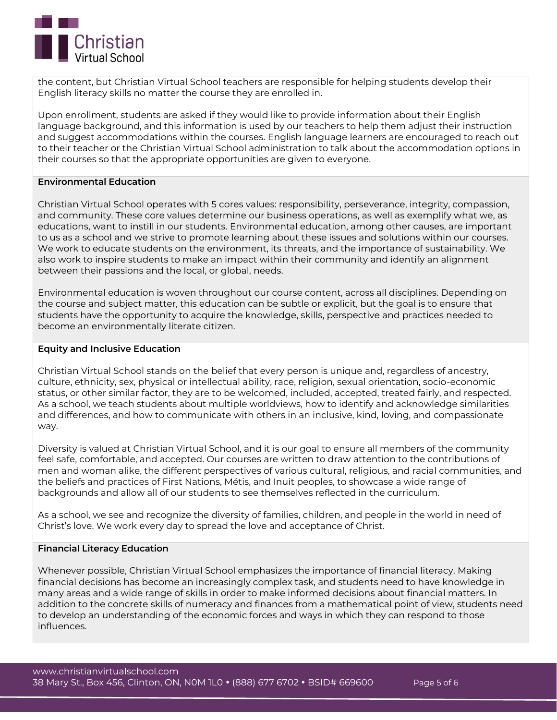

the content, but Christian Virtual School teachers are responsible for helping students develop their English literacy skills no matter the course they are enrolled in.

Upon enrollment, students are asked if they would like to provide information about their English language background, and this information is used by our teachers to help them adjust their instruction and suggest accommodations within the courses. English language learners are encouraged to reach out to their teacher or the Christian Virtual School administration to talk about the accommodation options in their courses so that the appropriate opportunities are given to everyone.

## **Environmental Education**

Christian Virtual School operates with 5 cores values: responsibility, perseverance, integrity, compassion, and community. These core values determine our business operations, as well as exemplify what we, as educations, want to instill in our students. Environmental education, among other causes, are important to us as a school and we strive to promote learning about these issues and solutions within our courses. We work to educate students on the environment, its threats, and the importance of sustainability. We also work to inspire students to make an impact within their community and identify an alignment between their passions and the local, or global, needs.

Environmental education is woven throughout our course content, across all disciplines. Depending on the course and subject matter, this education can be subtle or explicit, but the goal is to ensure that students have the opportunity to acquire the knowledge, skills, perspective and practices needed to become an environmentally literate citizen.

#### **Equity and Inclusive Education**

Christian Virtual School stands on the belief that every person is unique and, regardless of ancestry, culture, ethnicity, sex, physical or intellectual ability, race, religion, sexual orientation, socio-economic status, or other similar factor, they are to be welcomed, included, accepted, treated fairly, and respected. As a school, we teach students about multiple worldviews, how to identify and acknowledge similarities and differences, and how to communicate with others in an inclusive, kind, loving, and compassionate way.

Diversity is valued at Christian Virtual School, and it is our goal to ensure all members of the community feel safe, comfortable, and accepted. Our courses are written to draw attention to the contributions of men and woman alike, the different perspectives of various cultural, religious, and racial communities, and the beliefs and practices of First Nations, Métis, and Inuit peoples, to showcase a wide range of backgrounds and allow all of our students to see themselves reflected in the curriculum.

As a school, we see and recognize the diversity of families, children, and people in the world in need of Christ's love. We work every day to spread the love and acceptance of Christ.

#### **Financial Literacy Education**

Whenever possible, Christian Virtual School emphasizes the importance of financial literacy. Making financial decisions has become an increasingly complex task, and students need to have knowledge in many areas and a wide range of skills in order to make informed decisions about financial matters. In addition to the concrete skills of numeracy and finances from a mathematical point of view, students need to develop an understanding of the economic forces and ways in which they can respond to those influences.